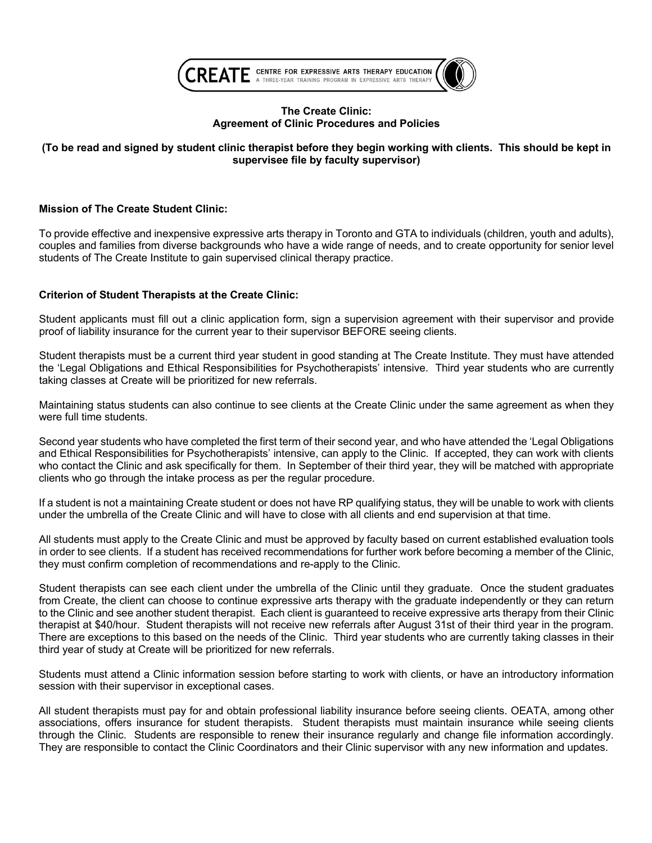

# **The Create Clinic: Agreement of Clinic Procedures and Policies**

# (To be read and signed by student clinic therapist before they begin working with clients. This should be kept in **supervisee file by faculty supervisor)**

# **Mission of The Create Student Clinic:**

To provide effective and inexpensive expressive arts therapy in Toronto and GTA to individuals (children, youth and adults), couples and families from diverse backgrounds who have a wide range of needs, and to create opportunity for senior level students of The Create Institute to gain supervised clinical therapy practice.

# **Criterion of Student Therapists at the Create Clinic:**

Student applicants must fill out a clinic application form, sign a supervision agreement with their supervisor and provide proof of liability insurance for the current year to their supervisor BEFORE seeing clients.

Student therapists must be a current third year student in good standing at The Create Institute. They must have attended the 'Legal Obligations and Ethical Responsibilities for Psychotherapists' intensive. Third year students who are currently taking classes at Create will be prioritized for new referrals.

Maintaining status students can also continue to see clients at the Create Clinic under the same agreement as when they were full time students.

Second year students who have completed the first term of their second year, and who have attended the 'Legal Obligations and Ethical Responsibilities for Psychotherapists' intensive, can apply to the Clinic. If accepted, they can work with clients who contact the Clinic and ask specifically for them. In September of their third year, they will be matched with appropriate clients who go through the intake process as per the regular procedure.

If a student is not a maintaining Create student or does not have RP qualifying status, they will be unable to work with clients under the umbrella of the Create Clinic and will have to close with all clients and end supervision at that time.

All students must apply to the Create Clinic and must be approved by faculty based on current established evaluation tools in order to see clients. If a student has received recommendations for further work before becoming a member of the Clinic, they must confirm completion of recommendations and re-apply to the Clinic.

Student therapists can see each client under the umbrella of the Clinic until they graduate. Once the student graduates from Create, the client can choose to continue expressive arts therapy with the graduate independently or they can return to the Clinic and see another student therapist. Each client is guaranteed to receive expressive arts therapy from their Clinic therapist at \$40/hour. Student therapists will not receive new referrals after August 31st of their third year in the program. There are exceptions to this based on the needs of the Clinic. Third year students who are currently taking classes in their third year of study at Create will be prioritized for new referrals.

Students must attend a Clinic information session before starting to work with clients, or have an introductory information session with their supervisor in exceptional cases.

All student therapists must pay for and obtain professional liability insurance before seeing clients. OEATA, among other associations, offers insurance for student therapists. Student therapists must maintain insurance while seeing clients through the Clinic. Students are responsible to renew their insurance regularly and change file information accordingly. They are responsible to contact the Clinic Coordinators and their Clinic supervisor with any new information and updates.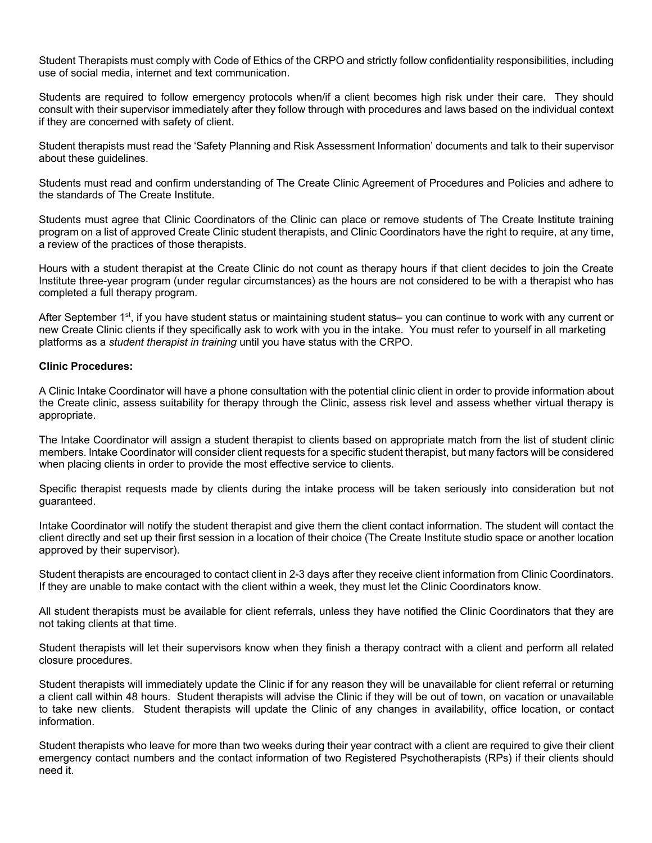Student Therapists must comply with Code of Ethics of the CRPO and strictly follow confidentiality responsibilities, including use of social media, internet and text communication.

Students are required to follow emergency protocols when/if a client becomes high risk under their care. They should consult with their supervisor immediately after they follow through with procedures and laws based on the individual context if they are concerned with safety of client.

Student therapists must read the 'Safety Planning and Risk Assessment Information' documents and talk to their supervisor about these guidelines.

Students must read and confirm understanding of The Create Clinic Agreement of Procedures and Policies and adhere to the standards of The Create Institute.

Students must agree that Clinic Coordinators of the Clinic can place or remove students of The Create Institute training program on a list of approved Create Clinic student therapists, and Clinic Coordinators have the right to require, at any time, a review of the practices of those therapists.

Hours with a student therapist at the Create Clinic do not count as therapy hours if that client decides to join the Create Institute three-year program (under regular circumstances) as the hours are not considered to be with a therapist who has completed a full therapy program.

After September 1<sup>st</sup>, if you have student status or maintaining student status– you can continue to work with any current or new Create Clinic clients if they specifically ask to work with you in the intake. You must refer to yourself in all marketing platforms as a *student therapist in training* until you have status with the CRPO.

### **Clinic Procedures:**

A Clinic Intake Coordinator will have a phone consultation with the potential clinic client in order to provide information about the Create clinic, assess suitability for therapy through the Clinic, assess risk level and assess whether virtual therapy is appropriate.

The Intake Coordinator will assign a student therapist to clients based on appropriate match from the list of student clinic members. Intake Coordinator will consider client requests for a specific student therapist, but many factors will be considered when placing clients in order to provide the most effective service to clients.

Specific therapist requests made by clients during the intake process will be taken seriously into consideration but not guaranteed.

Intake Coordinator will notify the student therapist and give them the client contact information. The student will contact the client directly and set up their first session in a location of their choice (The Create Institute studio space or another location approved by their supervisor).

Student therapists are encouraged to contact client in 2-3 days after they receive client information from Clinic Coordinators. If they are unable to make contact with the client within a week, they must let the Clinic Coordinators know.

All student therapists must be available for client referrals, unless they have notified the Clinic Coordinators that they are not taking clients at that time.

Student therapists will let their supervisors know when they finish a therapy contract with a client and perform all related closure procedures.

Student therapists will immediately update the Clinic if for any reason they will be unavailable for client referral or returning a client call within 48 hours. Student therapists will advise the Clinic if they will be out of town, on vacation or unavailable to take new clients. Student therapists will update the Clinic of any changes in availability, office location, or contact information.

Student therapists who leave for more than two weeks during their year contract with a client are required to give their client emergency contact numbers and the contact information of two Registered Psychotherapists (RPs) if their clients should need it.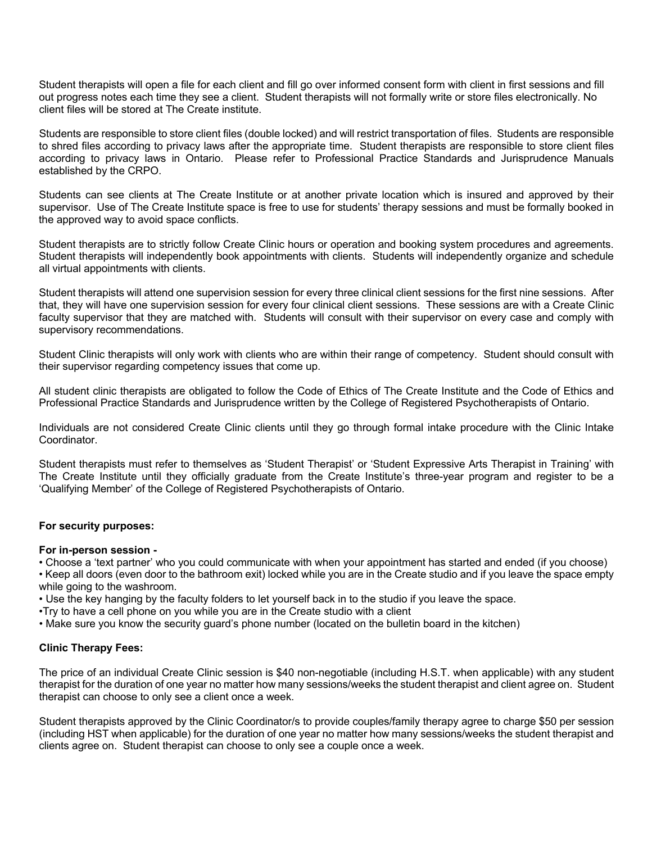Student therapists will open a file for each client and fill go over informed consent form with client in first sessions and fill out progress notes each time they see a client. Student therapists will not formally write or store files electronically. No client files will be stored at The Create institute.

Students are responsible to store client files (double locked) and will restrict transportation of files. Students are responsible to shred files according to privacy laws after the appropriate time. Student therapists are responsible to store client files according to privacy laws in Ontario. Please refer to Professional Practice Standards and Jurisprudence Manuals established by the CRPO.

Students can see clients at The Create Institute or at another private location which is insured and approved by their supervisor. Use of The Create Institute space is free to use for students' therapy sessions and must be formally booked in the approved way to avoid space conflicts.

Student therapists are to strictly follow Create Clinic hours or operation and booking system procedures and agreements. Student therapists will independently book appointments with clients. Students will independently organize and schedule all virtual appointments with clients.

Student therapists will attend one supervision session for every three clinical client sessions for the first nine sessions. After that, they will have one supervision session for every four clinical client sessions. These sessions are with a Create Clinic faculty supervisor that they are matched with. Students will consult with their supervisor on every case and comply with supervisory recommendations.

Student Clinic therapists will only work with clients who are within their range of competency. Student should consult with their supervisor regarding competency issues that come up.

All student clinic therapists are obligated to follow the Code of Ethics of The Create Institute and the Code of Ethics and Professional Practice Standards and Jurisprudence written by the College of Registered Psychotherapists of Ontario.

Individuals are not considered Create Clinic clients until they go through formal intake procedure with the Clinic Intake Coordinator.

Student therapists must refer to themselves as 'Student Therapist' or 'Student Expressive Arts Therapist in Training' with The Create Institute until they officially graduate from the Create Institute's three-year program and register to be a 'Qualifying Member' of the College of Registered Psychotherapists of Ontario.

### **For security purposes:**

### **For in-person session -**

• Choose a 'text partner' who you could communicate with when your appointment has started and ended (if you choose)

• Keep all doors (even door to the bathroom exit) locked while you are in the Create studio and if you leave the space empty while going to the washroom.

• Use the key hanging by the faculty folders to let yourself back in to the studio if you leave the space.

•Try to have a cell phone on you while you are in the Create studio with a client

• Make sure you know the security guard's phone number (located on the bulletin board in the kitchen)

# **Clinic Therapy Fees:**

The price of an individual Create Clinic session is \$40 non-negotiable (including H.S.T. when applicable) with any student therapist for the duration of one year no matter how many sessions/weeks the student therapist and client agree on. Student therapist can choose to only see a client once a week.

Student therapists approved by the Clinic Coordinator/s to provide couples/family therapy agree to charge \$50 per session (including HST when applicable) for the duration of one year no matter how many sessions/weeks the student therapist and clients agree on. Student therapist can choose to only see a couple once a week.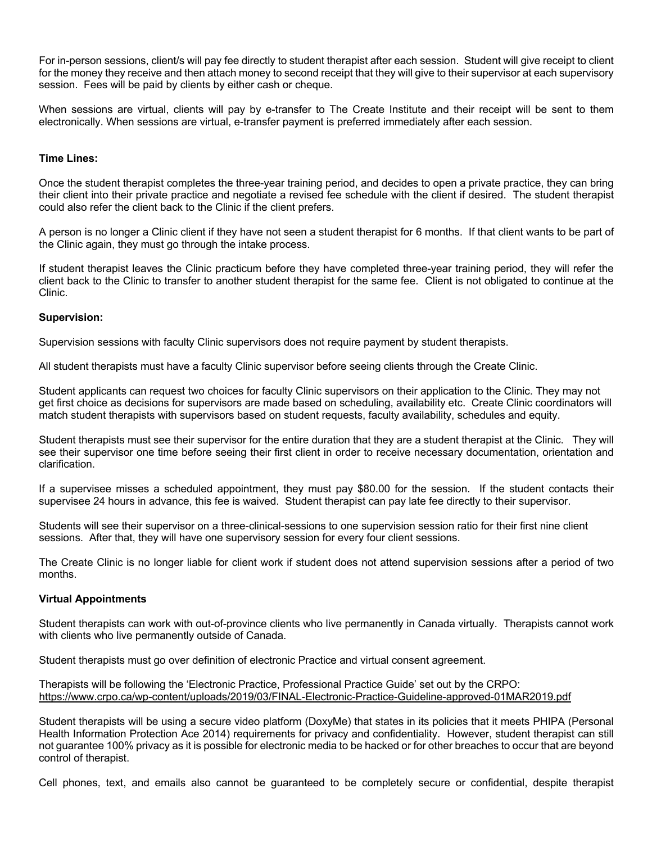For in-person sessions, client/s will pay fee directly to student therapist after each session. Student will give receipt to client for the money they receive and then attach money to second receipt that they will give to their supervisor at each supervisory session. Fees will be paid by clients by either cash or cheque.

When sessions are virtual, clients will pay by e-transfer to The Create Institute and their receipt will be sent to them electronically. When sessions are virtual, e-transfer payment is preferred immediately after each session.

### **Time Lines:**

Once the student therapist completes the three-year training period, and decides to open a private practice, they can bring their client into their private practice and negotiate a revised fee schedule with the client if desired. The student therapist could also refer the client back to the Clinic if the client prefers.

A person is no longer a Clinic client if they have not seen a student therapist for 6 months. If that client wants to be part of the Clinic again, they must go through the intake process.

If student therapist leaves the Clinic practicum before they have completed three-year training period, they will refer the client back to the Clinic to transfer to another student therapist for the same fee. Client is not obligated to continue at the Clinic.

### **Supervision:**

Supervision sessions with faculty Clinic supervisors does not require payment by student therapists.

All student therapists must have a faculty Clinic supervisor before seeing clients through the Create Clinic.

Student applicants can request two choices for faculty Clinic supervisors on their application to the Clinic. They may not get first choice as decisions for supervisors are made based on scheduling, availability etc. Create Clinic coordinators will match student therapists with supervisors based on student requests, faculty availability, schedules and equity.

Student therapists must see their supervisor for the entire duration that they are a student therapist at the Clinic. They will see their supervisor one time before seeing their first client in order to receive necessary documentation, orientation and clarification.

If a supervisee misses a scheduled appointment, they must pay \$80.00 for the session. If the student contacts their supervisee 24 hours in advance, this fee is waived. Student therapist can pay late fee directly to their supervisor.

Students will see their supervisor on a three-clinical-sessions to one supervision session ratio for their first nine client sessions. After that, they will have one supervisory session for every four client sessions.

The Create Clinic is no longer liable for client work if student does not attend supervision sessions after a period of two months.

# **Virtual Appointments**

Student therapists can work with out-of-province clients who live permanently in Canada virtually. Therapists cannot work with clients who live permanently outside of Canada.

Student therapists must go over definition of electronic Practice and virtual consent agreement.

Therapists will be following the 'Electronic Practice, Professional Practice Guide' set out by the CRPO: https://www.crpo.ca/wp-content/uploads/2019/03/FINAL-Electronic-Practice-Guideline-approved-01MAR2019.pdf

Student therapists will be using a secure video platform (DoxyMe) that states in its policies that it meets PHIPA (Personal Health Information Protection Ace 2014) requirements for privacy and confidentiality. However, student therapist can still not guarantee 100% privacy as it is possible for electronic media to be hacked or for other breaches to occur that are beyond control of therapist.

Cell phones, text, and emails also cannot be guaranteed to be completely secure or confidential, despite therapist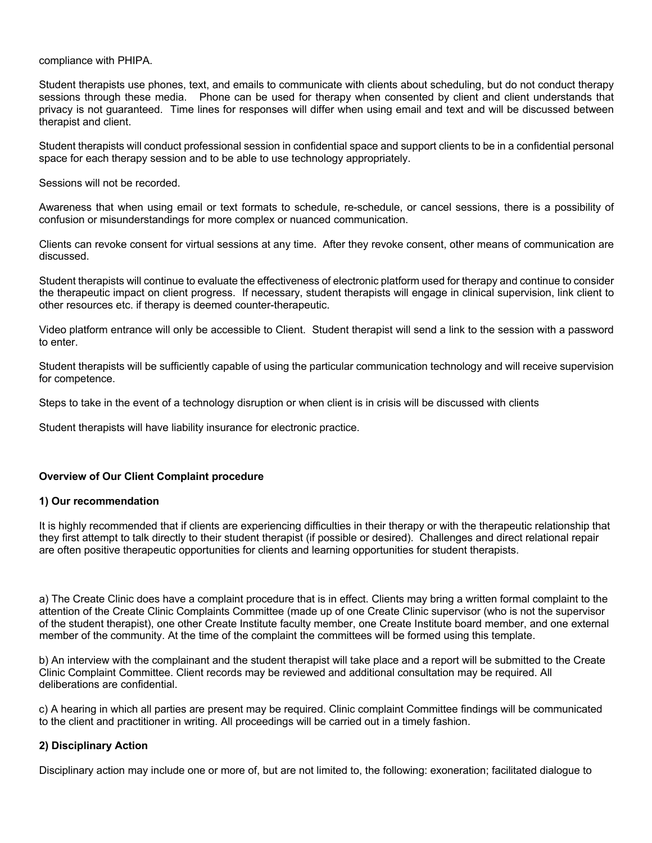compliance with PHIPA.

Student therapists use phones, text, and emails to communicate with clients about scheduling, but do not conduct therapy sessions through these media. Phone can be used for therapy when consented by client and client understands that privacy is not guaranteed. Time lines for responses will differ when using email and text and will be discussed between therapist and client.

Student therapists will conduct professional session in confidential space and support clients to be in a confidential personal space for each therapy session and to be able to use technology appropriately.

Sessions will not be recorded.

Awareness that when using email or text formats to schedule, re-schedule, or cancel sessions, there is a possibility of confusion or misunderstandings for more complex or nuanced communication.

Clients can revoke consent for virtual sessions at any time. After they revoke consent, other means of communication are discussed.

Student therapists will continue to evaluate the effectiveness of electronic platform used for therapy and continue to consider the therapeutic impact on client progress. If necessary, student therapists will engage in clinical supervision, link client to other resources etc. if therapy is deemed counter-therapeutic.

Video platform entrance will only be accessible to Client. Student therapist will send a link to the session with a password to enter.

Student therapists will be sufficiently capable of using the particular communication technology and will receive supervision for competence.

Steps to take in the event of a technology disruption or when client is in crisis will be discussed with clients

Student therapists will have liability insurance for electronic practice.

### **Overview of Our Client Complaint procedure**

### **1) Our recommendation**

It is highly recommended that if clients are experiencing difficulties in their therapy or with the therapeutic relationship that they first attempt to talk directly to their student therapist (if possible or desired). Challenges and direct relational repair are often positive therapeutic opportunities for clients and learning opportunities for student therapists.

a) The Create Clinic does have a complaint procedure that is in effect. Clients may bring a written formal complaint to the attention of the Create Clinic Complaints Committee (made up of one Create Clinic supervisor (who is not the supervisor of the student therapist), one other Create Institute faculty member, one Create Institute board member, and one external member of the community. At the time of the complaint the committees will be formed using this template.

b) An interview with the complainant and the student therapist will take place and a report will be submitted to the Create Clinic Complaint Committee. Client records may be reviewed and additional consultation may be required. All deliberations are confidential.

c) A hearing in which all parties are present may be required. Clinic complaint Committee findings will be communicated to the client and practitioner in writing. All proceedings will be carried out in a timely fashion.

### **2) Disciplinary Action**

Disciplinary action may include one or more of, but are not limited to, the following: exoneration; facilitated dialogue to